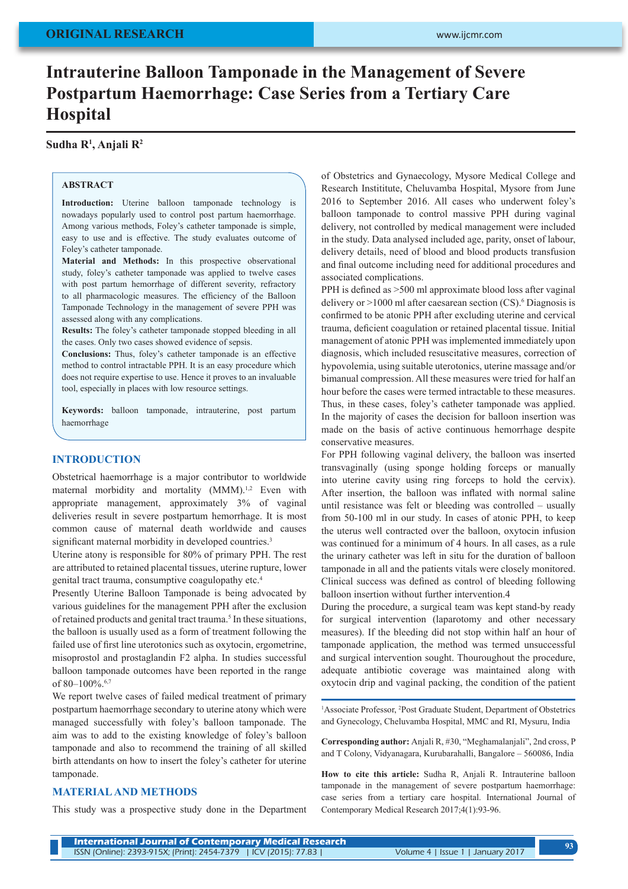# **Intrauterine Balloon Tamponade in the Management of Severe Postpartum Haemorrhage: Case Series from a Tertiary Care Hospital**

### **Sudha R1 , Anjali R2**

## **ABSTRACT**

**Introduction:** Uterine balloon tamponade technology is nowadays popularly used to control post partum haemorrhage. Among various methods, Foley's catheter tamponade is simple, easy to use and is effective. The study evaluates outcome of Foley's catheter tamponade.

**Material and Methods:** In this prospective observational study, foley's catheter tamponade was applied to twelve cases with post partum hemorrhage of different severity, refractory to all pharmacologic measures. The efficiency of the Balloon Tamponade Technology in the management of severe PPH was assessed along with any complications.

**Results:** The foley's catheter tamponade stopped bleeding in all the cases. Only two cases showed evidence of sepsis.

**Conclusions:** Thus, foley's catheter tamponade is an effective method to control intractable PPH. It is an easy procedure which does not require expertise to use. Hence it proves to an invaluable tool, especially in places with low resource settings.

**Keywords:** balloon tamponade, intrauterine, post partum haemorrhage

### **INTRODUCTION**

Obstetrical haemorrhage is a major contributor to worldwide maternal morbidity and mortality (MMM).<sup>1,2</sup> Even with appropriate management, approximately 3% of vaginal deliveries result in severe postpartum hemorrhage. It is most common cause of maternal death worldwide and causes significant maternal morbidity in developed countries.<sup>3</sup>

Uterine atony is responsible for 80% of primary PPH. The rest are attributed to retained placental tissues, uterine rupture, lower genital tract trauma, consumptive coagulopathy etc.4

Presently Uterine Balloon Tamponade is being advocated by various guidelines for the management PPH after the exclusion of retained products and genital tract trauma.<sup>5</sup> In these situations, the balloon is usually used as a form of treatment following the failed use of first line uterotonics such as oxytocin, ergometrine, misoprostol and prostaglandin F2 alpha. In studies successful balloon tamponade outcomes have been reported in the range of 80–100%.6,7

We report twelve cases of failed medical treatment of primary postpartum haemorrhage secondary to uterine atony which were managed successfully with foley's balloon tamponade. The aim was to add to the existing knowledge of foley's balloon tamponade and also to recommend the training of all skilled birth attendants on how to insert the foley's catheter for uterine tamponade.

### **MATERIAL AND METHODS**

This study was a prospective study done in the Department

of Obstetrics and Gynaecology, Mysore Medical College and Research Instititute, Cheluvamba Hospital, Mysore from June 2016 to September 2016. All cases who underwent foley's balloon tamponade to control massive PPH during vaginal delivery, not controlled by medical management were included in the study. Data analysed included age, parity, onset of labour, delivery details, need of blood and blood products transfusion and final outcome including need for additional procedures and associated complications.

PPH is defined as >500 ml approximate blood loss after vaginal delivery or >1000 ml after caesarean section (CS).<sup>6</sup> Diagnosis is confirmed to be atonic PPH after excluding uterine and cervical trauma, deficient coagulation or retained placental tissue. Initial management of atonic PPH was implemented immediately upon diagnosis, which included resuscitative measures, correction of hypovolemia, using suitable uterotonics, uterine massage and/or bimanual compression. All these measures were tried for half an hour before the cases were termed intractable to these measures. Thus, in these cases, foley's catheter tamponade was applied. In the majority of cases the decision for balloon insertion was made on the basis of active continuous hemorrhage despite conservative measures.

For PPH following vaginal delivery, the balloon was inserted transvaginally (using sponge holding forceps or manually into uterine cavity using ring forceps to hold the cervix). After insertion, the balloon was inflated with normal saline until resistance was felt or bleeding was controlled – usually from 50-100 ml in our study. In cases of atonic PPH, to keep the uterus well contracted over the balloon, oxytocin infusion was continued for a minimum of 4 hours. In all cases, as a rule the urinary catheter was left in situ for the duration of balloon tamponade in all and the patients vitals were closely monitored. Clinical success was defined as control of bleeding following balloon insertion without further intervention.4

During the procedure, a surgical team was kept stand-by ready for surgical intervention (laparotomy and other necessary measures). If the bleeding did not stop within half an hour of tamponade application, the method was termed unsuccessful and surgical intervention sought. Thouroughout the procedure, adequate antibiotic coverage was maintained along with oxytocin drip and vaginal packing, the condition of the patient

<sup>1</sup>Associate Professor, <sup>2</sup>Post Graduate Student, Department of Obstetrics and Gynecology, Cheluvamba Hospital, MMC and RI, Mysuru, India

**Corresponding author:** Anjali R, #30, "Meghamalanjali", 2nd cross, P and T Colony, Vidyanagara, Kurubarahalli, Bangalore – 560086, India

**How to cite this article:** Sudha R, Anjali R. Intrauterine balloon tamponade in the management of severe postpartum haemorrhage: case series from a tertiary care hospital. International Journal of Contemporary Medical Research 2017;4(1):93-96.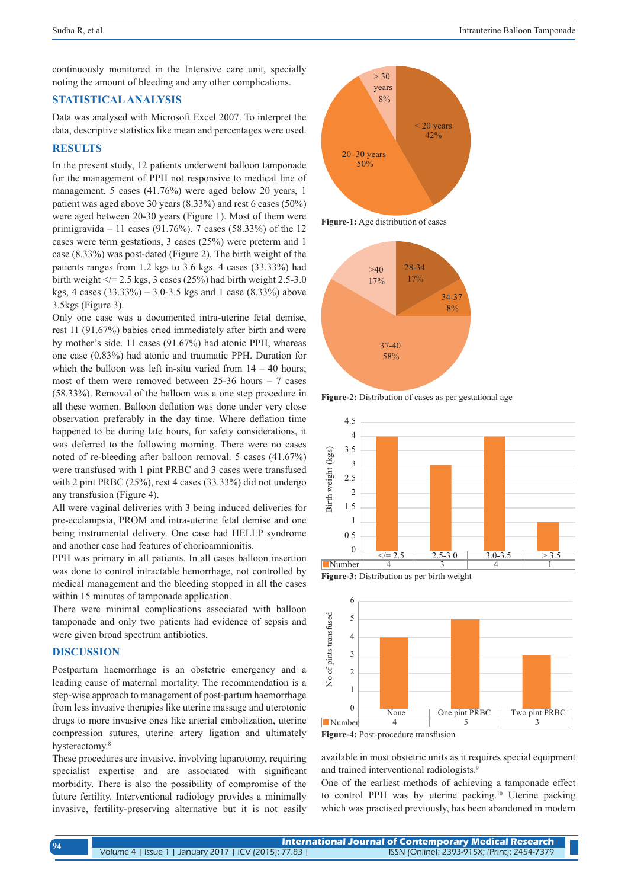continuously monitored in the Intensive care unit, specially noting the amount of bleeding and any other complications.

### **STATISTICAL ANALYSIS**

Data was analysed with Microsoft Excel 2007. To interpret the data, descriptive statistics like mean and percentages were used.

### **RESULTS**

In the present study, 12 patients underwent balloon tamponade for the management of PPH not responsive to medical line of management. 5 cases (41.76%) were aged below 20 years, 1 patient was aged above 30 years (8.33%) and rest 6 cases (50%) were aged between 20-30 years (Figure 1). Most of them were primigravida – 11 cases (91.76%). 7 cases (58.33%) of the 12 cases were term gestations, 3 cases (25%) were preterm and 1 case (8.33%) was post-dated (Figure 2). The birth weight of the patients ranges from 1.2 kgs to 3.6 kgs. 4 cases (33.33%) had birth weight  $\le$  = 2.5 kgs, 3 cases (25%) had birth weight 2.5-3.0 kgs, 4 cases (33.33%) – 3.0-3.5 kgs and 1 case (8.33%) above 3.5kgs (Figure 3).

Only one case was a documented intra-uterine fetal demise, rest 11 (91.67%) babies cried immediately after birth and were by mother's side. 11 cases (91.67%) had atonic PPH, whereas one case (0.83%) had atonic and traumatic PPH. Duration for which the balloon was left in-situ varied from  $14 - 40$  hours; most of them were removed between  $25-36$  hours  $-7$  cases (58.33%). Removal of the balloon was a one step procedure in all these women. Balloon deflation was done under very close observation preferably in the day time. Where deflation time happened to be during late hours, for safety considerations, it was deferred to the following morning. There were no cases noted of re-bleeding after balloon removal. 5 cases (41.67%) were transfused with 1 pint PRBC and 3 cases were transfused with 2 pint PRBC (25%), rest 4 cases (33.33%) did not undergo any transfusion (Figure 4).

All were vaginal deliveries with 3 being induced deliveries for pre-ecclampsia, PROM and intra-uterine fetal demise and one being instrumental delivery. One case had HELLP syndrome and another case had features of chorioamnionitis.

PPH was primary in all patients. In all cases balloon insertion was done to control intractable hemorrhage, not controlled by medical management and the bleeding stopped in all the cases within 15 minutes of tamponade application.

There were minimal complications associated with balloon tamponade and only two patients had evidence of sepsis and were given broad spectrum antibiotics.

### **DISCUSSION**

Postpartum haemorrhage is an obstetric emergency and a leading cause of maternal mortality. The recommendation is a step-wise approach to management of post-partum haemorrhage from less invasive therapies like uterine massage and uterotonic drugs to more invasive ones like arterial embolization, uterine compression sutures, uterine artery ligation and ultimately hysterectomy.<sup>8</sup>

These procedures are invasive, involving laparotomy, requiring specialist expertise and are associated with significant morbidity. There is also the possibility of compromise of the future fertility. Interventional radiology provides a minimally invasive, fertility-preserving alternative but it is not easily



**Figure-1:** Age distribution of cases



**Figure-2:** Distribution of cases as per gestational age







**Figure-4:** Post-procedure transfusion

available in most obstetric units as it requires special equipment and trained interventional radiologists.<sup>9</sup>

One of the earliest methods of achieving a tamponade effect to control PPH was by uterine packing.<sup>10</sup> Uterine packing which was practised previously, has been abandoned in modern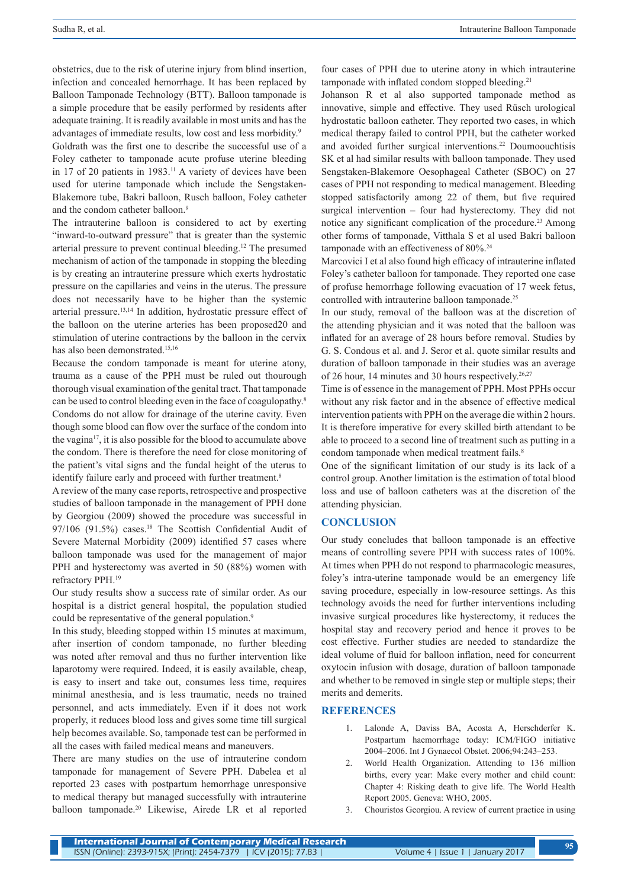obstetrics, due to the risk of uterine injury from blind insertion, infection and concealed hemorrhage. It has been replaced by Balloon Tamponade Technology (BTT). Balloon tamponade is a simple procedure that be easily performed by residents after adequate training. It is readily available in most units and has the advantages of immediate results, low cost and less morbidity.9

Goldrath was the first one to describe the successful use of a Foley catheter to tamponade acute profuse uterine bleeding in 17 of 20 patients in 1983.<sup>11</sup> A variety of devices have been used for uterine tamponade which include the Sengstaken-Blakemore tube, Bakri balloon, Rusch balloon, Foley catheter and the condom catheter balloon.<sup>9</sup>

The intrauterine balloon is considered to act by exerting "inward-to-outward pressure" that is greater than the systemic arterial pressure to prevent continual bleeding.12 The presumed mechanism of action of the tamponade in stopping the bleeding is by creating an intrauterine pressure which exerts hydrostatic pressure on the capillaries and veins in the uterus. The pressure does not necessarily have to be higher than the systemic arterial pressure.13,14 In addition, hydrostatic pressure effect of the balloon on the uterine arteries has been proposed20 and stimulation of uterine contractions by the balloon in the cervix has also been demonstrated.15,16

Because the condom tamponade is meant for uterine atony, trauma as a cause of the PPH must be ruled out thourough thorough visual examination of the genital tract. That tamponade can be used to control bleeding even in the face of coagulopathy.<sup>8</sup> Condoms do not allow for drainage of the uterine cavity. Even though some blood can flow over the surface of the condom into the vagina17, it is also possible for the blood to accumulate above the condom. There is therefore the need for close monitoring of the patient's vital signs and the fundal height of the uterus to identify failure early and proceed with further treatment.<sup>8</sup>

A review of the many case reports, retrospective and prospective studies of balloon tamponade in the management of PPH done by Georgiou (2009) showed the procedure was successful in 97/106 (91.5%) cases.<sup>18</sup> The Scottish Confidential Audit of Severe Maternal Morbidity (2009) identified 57 cases where balloon tamponade was used for the management of major PPH and hysterectomy was averted in 50 (88%) women with refractory PPH.19

Our study results show a success rate of similar order. As our hospital is a district general hospital, the population studied could be representative of the general population.<sup>9</sup>

In this study, bleeding stopped within 15 minutes at maximum, after insertion of condom tamponade, no further bleeding was noted after removal and thus no further intervention like laparotomy were required. Indeed, it is easily available, cheap, is easy to insert and take out, consumes less time, requires minimal anesthesia, and is less traumatic, needs no trained personnel, and acts immediately. Even if it does not work properly, it reduces blood loss and gives some time till surgical help becomes available. So, tamponade test can be performed in all the cases with failed medical means and maneuvers.

There are many studies on the use of intrauterine condom tamponade for management of Severe PPH. Dabelea et al reported 23 cases with postpartum hemorrhage unresponsive to medical therapy but managed successfully with intrauterine balloon tamponade.20 Likewise, Airede LR et al reported

four cases of PPH due to uterine atony in which intrauterine tamponade with inflated condom stopped bleeding.<sup>21</sup>

Johanson R et al also supported tamponade method as innovative, simple and effective. They used Rüsch urological hydrostatic balloon catheter. They reported two cases, in which medical therapy failed to control PPH, but the catheter worked and avoided further surgical interventions.<sup>22</sup> Doumoouchtisis SK et al had similar results with balloon tamponade. They used Sengstaken-Blakemore Oesophageal Catheter (SBOC) on 27 cases of PPH not responding to medical management. Bleeding stopped satisfactorily among 22 of them, but five required surgical intervention – four had hysterectomy. They did not notice any significant complication of the procedure.<sup>23</sup> Among other forms of tamponade, Vitthala S et al used Bakri balloon tamponade with an effectiveness of 80%.24

Marcovici I et al also found high efficacy of intrauterine inflated Foley's catheter balloon for tamponade. They reported one case of profuse hemorrhage following evacuation of 17 week fetus, controlled with intrauterine balloon tamponade.25

In our study, removal of the balloon was at the discretion of the attending physician and it was noted that the balloon was inflated for an average of 28 hours before removal. Studies by G. S. Condous et al. and J. Seror et al. quote similar results and duration of balloon tamponade in their studies was an average of 26 hour, 14 minutes and 30 hours respectively.<sup>26,27</sup>

Time is of essence in the management of PPH. Most PPHs occur without any risk factor and in the absence of effective medical intervention patients with PPH on the average die within 2 hours. It is therefore imperative for every skilled birth attendant to be able to proceed to a second line of treatment such as putting in a condom tamponade when medical treatment fails.<sup>8</sup>

One of the significant limitation of our study is its lack of a control group. Another limitation is the estimation of total blood loss and use of balloon catheters was at the discretion of the attending physician.

### **CONCLUSION**

Our study concludes that balloon tamponade is an effective means of controlling severe PPH with success rates of 100%. At times when PPH do not respond to pharmacologic measures, foley's intra-uterine tamponade would be an emergency life saving procedure, especially in low-resource settings. As this technology avoids the need for further interventions including invasive surgical procedures like hysterectomy, it reduces the hospital stay and recovery period and hence it proves to be cost effective. Further studies are needed to standardize the ideal volume of fluid for balloon inflation, need for concurrent oxytocin infusion with dosage, duration of balloon tamponade and whether to be removed in single step or multiple steps; their merits and demerits.

#### **REFERENCES**

- 1. Lalonde A, Daviss BA, Acosta A, Herschderfer K. Postpartum haemorrhage today: ICM/FIGO initiative 2004–2006. Int J Gynaecol Obstet. 2006;94:243–253.
- 2. World Health Organization. Attending to 136 million births, every year: Make every mother and child count: Chapter 4: Risking death to give life. The World Health Report 2005. Geneva: WHO, 2005.
- 3. Chouristos Georgiou. A review of current practice in using